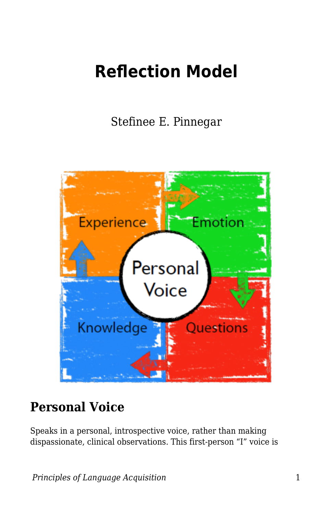# **Reflection Model**

Stefinee E. Pinnegar



#### **Personal Voice**

Speaks in a personal, introspective voice, rather than making dispassionate, clinical observations. This first-person "I" voice is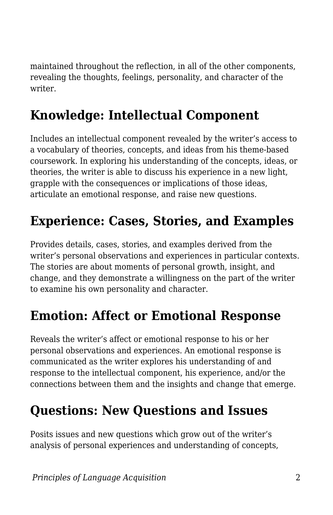maintained throughout the reflection, in all of the other components, revealing the thoughts, feelings, personality, and character of the writer.

# **Knowledge: Intellectual Component**

Includes an intellectual component revealed by the writer's access to a vocabulary of theories, concepts, and ideas from his theme-based coursework. In exploring his understanding of the concepts, ideas, or theories, the writer is able to discuss his experience in a new light, grapple with the consequences or implications of those ideas, articulate an emotional response, and raise new questions.

## **Experience: Cases, Stories, and Examples**

Provides details, cases, stories, and examples derived from the writer's personal observations and experiences in particular contexts. The stories are about moments of personal growth, insight, and change, and they demonstrate a willingness on the part of the writer to examine his own personality and character.

#### **Emotion: Affect or Emotional Response**

Reveals the writer's affect or emotional response to his or her personal observations and experiences. An emotional response is communicated as the writer explores his understanding of and response to the intellectual component, his experience, and/or the connections between them and the insights and change that emerge.

## **Questions: New Questions and Issues**

Posits issues and new questions which grow out of the writer's analysis of personal experiences and understanding of concepts,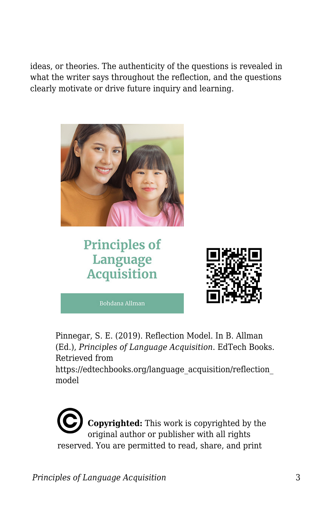ideas, or theories. The authenticity of the questions is revealed in what the writer says throughout the reflection, and the questions clearly motivate or drive future inquiry and learning.



#### **Principles of** Language **Acquisition**



Pinnegar, S. E. (2019). Reflection Model. In B. Allman (Ed.), *Principles of Language Acquisition*. EdTech Books. Retrieved from https://edtechbooks.org/language\_acquisition/reflection model

**Copyrighted:** This work is copyrighted by the original author or publisher with all rights reserved. You are permitted to read, share, and print